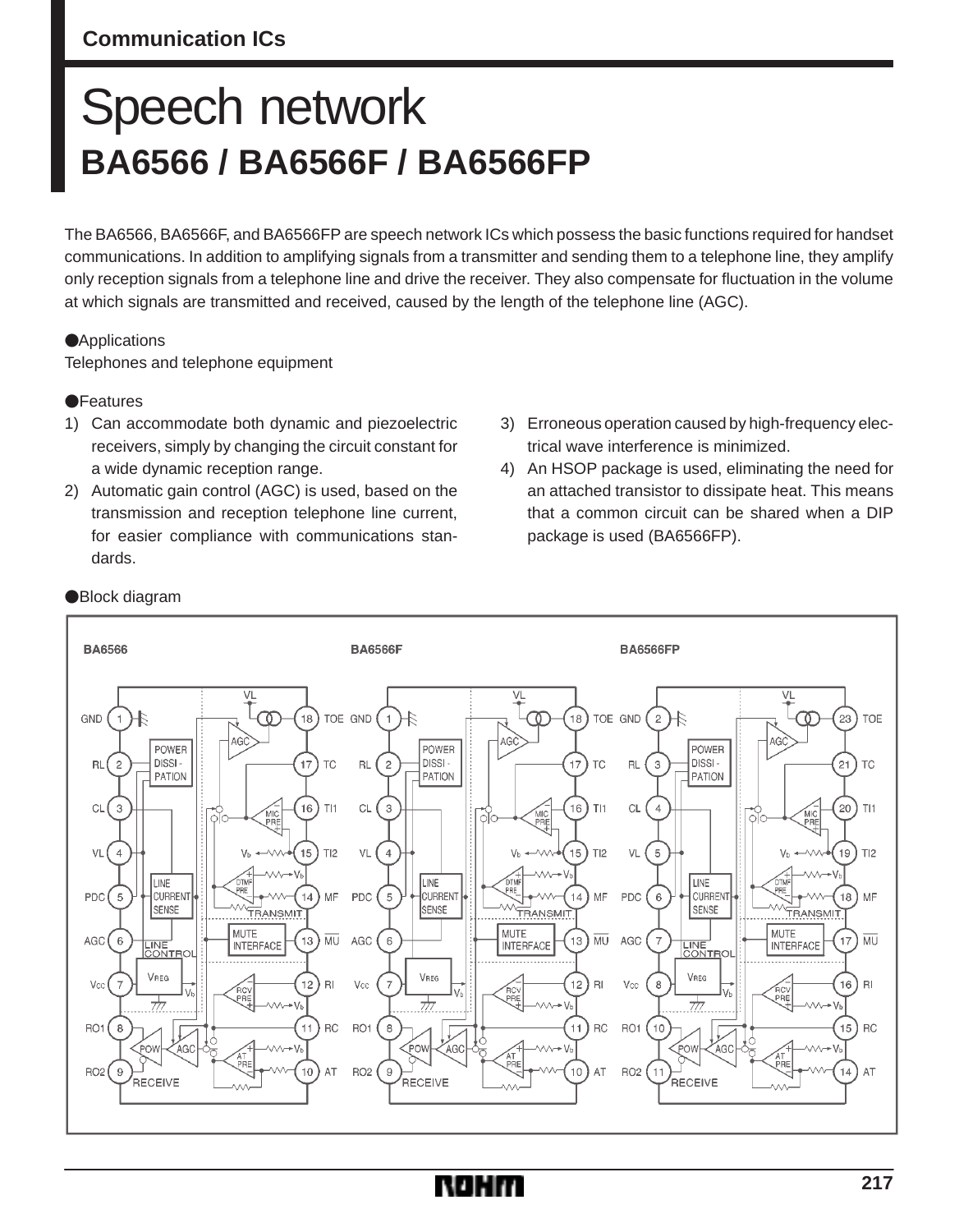## **Communication ICs**

# Speech network **BA6566 / BA6566F / BA6566FP**

The BA6566, BA6566F, and BA6566FP are speech network ICs which possess the basic functions required for handset communications. In addition to amplifying signals from a transmitter and sending them to a telephone line, they amplify only reception signals from a telephone line and drive the receiver. They also compensate for fluctuation in the volume at which signals are transmitted and received, caused by the length of the telephone line (AGC).

### **Applications**

Telephones and telephone equipment

#### **•**Features

- 1) Can accommodate both dynamic and piezoelectric receivers, simply by changing the circuit constant for a wide dynamic reception range.
- 2) Automatic gain control (AGC) is used, based on the transmission and reception telephone line current, for easier compliance with communications standards.
- 3) Erroneous operation caused by high-frequency electrical wave interference is minimized.
- 4) An HSOP package is used, eliminating the need for an attached transistor to dissipate heat. This means that a common circuit can be shared when a DIP package is used (BA6566FP).



#### Block diagram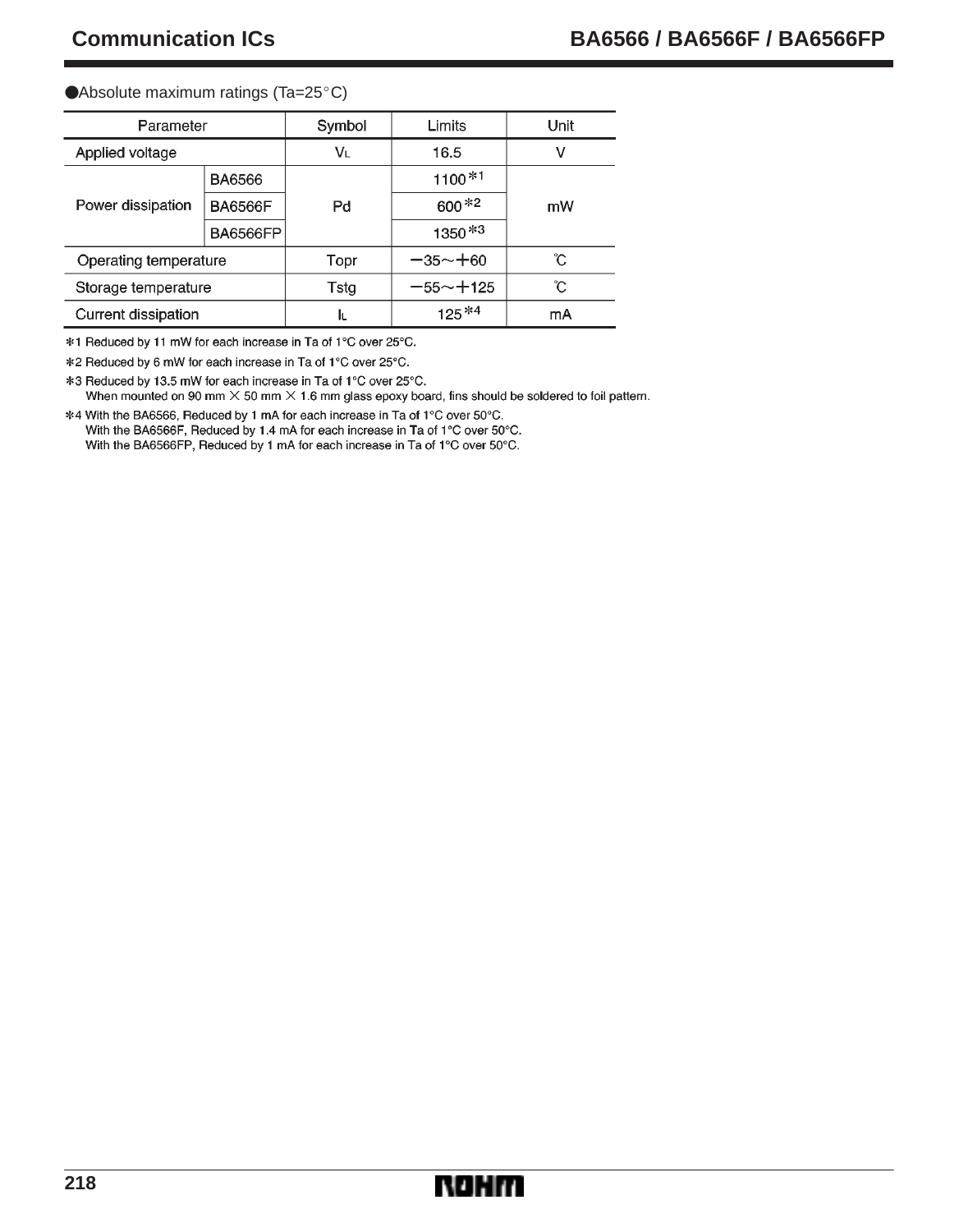#### ● Absolute maximum ratings (Ta=25°C)

| Parameter             |                 | Symbol | Limits       | Unit |  |  |  |  |
|-----------------------|-----------------|--------|--------------|------|--|--|--|--|
| Applied voltage       |                 | VL     | 16.5         | ν    |  |  |  |  |
| Power dissipation     | <b>BA6566</b>   |        | $1100*1$     | mW   |  |  |  |  |
|                       | <b>BA6566F</b>  | Pd     | $600*2$      |      |  |  |  |  |
|                       | <b>BA6566FP</b> |        | $1350*3$     |      |  |  |  |  |
| Operating temperature |                 | Topr   | $-35 - +60$  | ົົ   |  |  |  |  |
| Storage temperature   |                 | Tstg   | $-55 - +125$ | °C.  |  |  |  |  |
| Current dissipation   |                 | ΙL     | mA           |      |  |  |  |  |

\*1 Reduced by 11 mW for each increase in Ta of 1°C over 25°C.

\*2 Reduced by 6 mW for each increase in Ta of 1°C over 25°C.

\*3 Reduced by 13.5 mW for each increase in Ta of 1°C over 25°C. When mounted on 90 mm  $\times$  50 mm  $\times$  1.6 mm glass epoxy board, fins should be soldered to foil pattern.

\*4 With the BA6566, Reduced by 1 mA for each increase in Ta of 1°C over 50°C. With the BA6566F, Reduced by 1.4 mA for each increase in Ta of 1°C over 50°C. With the BA6566FP, Reduced by 1 mA for each increase in Ta of 1°C over 50°C.

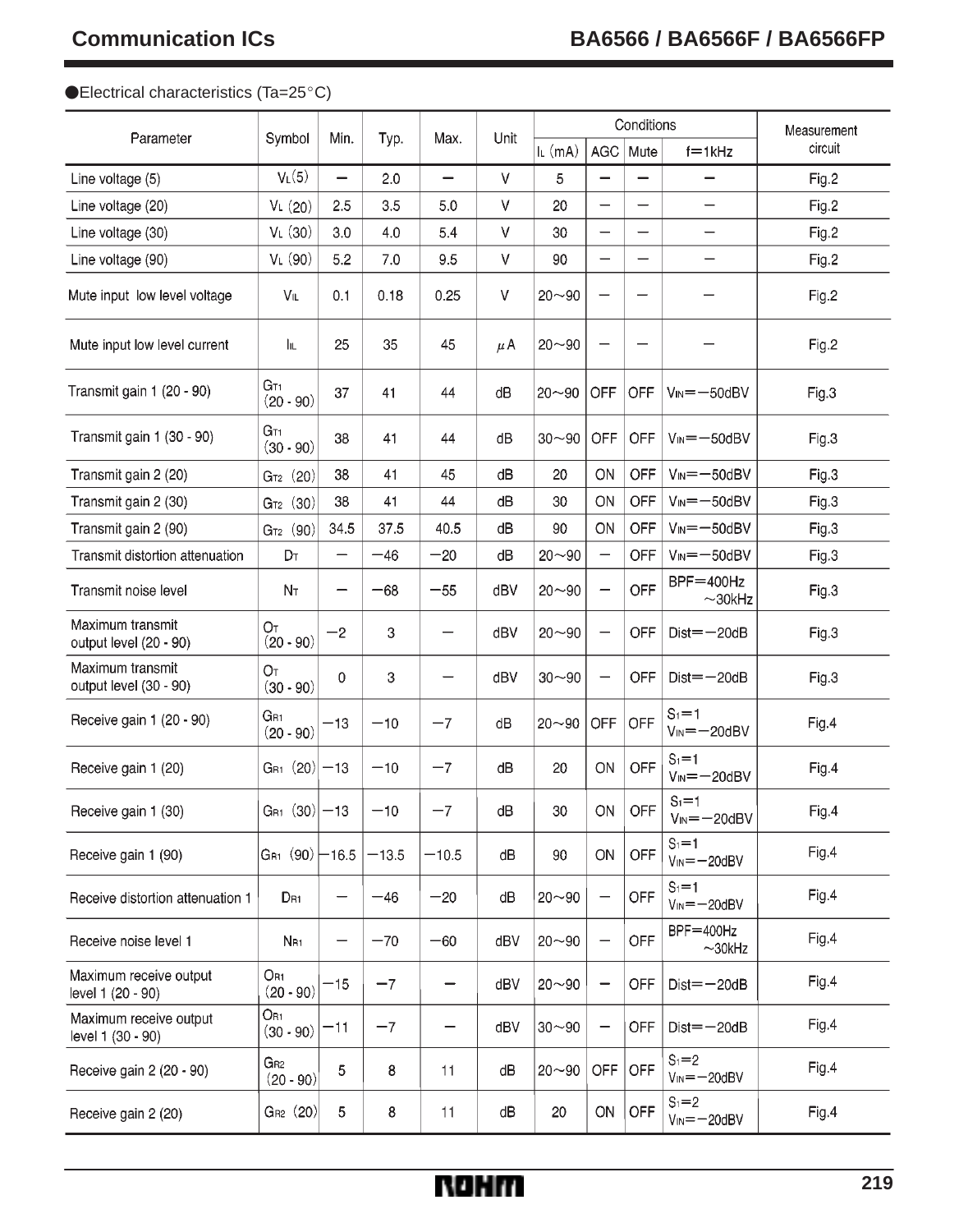### ● Electrical characteristics (Ta=25°C)

|                                             | Symbol                         | Min.                     | Typ.    | Max.    | Unit |           |                          | Conditions | Measurement                            |         |
|---------------------------------------------|--------------------------------|--------------------------|---------|---------|------|-----------|--------------------------|------------|----------------------------------------|---------|
| Parameter                                   |                                |                          |         |         |      | IL (mA)   | <b>AGC</b>               | Mute       | $f = 1kHz$                             | circuit |
| Line voltage (5)                            | V <sub>L</sub> (5)             | $\overline{\phantom{0}}$ | 2.0     |         | V    | 5         |                          |            |                                        | Fig.2   |
| Line voltage (20)                           | $V_L(20)$                      | 2.5                      | 3.5     | 5.0     | ٧    | 20        |                          |            | $\overline{\phantom{0}}$               | Fig.2   |
| Line voltage (30)                           | $VL$ (30)                      | 3.0                      | 4.0     | 5.4     | V    | 30        | $\overline{\phantom{0}}$ | —          | —                                      | Fig.2   |
| Line voltage (90)                           | $VL$ (90)                      | 5.2                      | 7.0     | 9.5     | V    | 90        |                          |            |                                        | Fig.2   |
| Mute input low level voltage                | VL                             | 0.1                      | 0.18    | 0.25    | V    | $20 - 90$ |                          | —          |                                        | Fig.2   |
| Mute input low level current                | Iμ                             | 25                       | 35      | 45      | μA   | $20 - 90$ |                          |            |                                        | Fig.2   |
| Transmit gain 1 (20 - 90)                   | GT1<br>$(20 - 90)$             | 37                       | 41      | 44      | dВ   | $20 - 90$ | OFF                      | OFF        | $V_{IN} = -50dBV$                      | Fig.3   |
| Transmit gain 1 (30 - 90)                   | G <sub>T1</sub><br>$(30 - 90)$ | 38                       | 41      | 44      | dВ   | $30 - 90$ | <b>OFF</b>               | OFF        | $V_{IN} = -50dBV$                      | Fig.3   |
| Transmit gain 2 (20)                        | $G_{T2}$ (20)                  | 38                       | 41      | 45      | dB   | 20        | ON                       | <b>OFF</b> | $V_{IN} = -50dBV$                      | Fig.3   |
| Transmit gain 2 (30)                        | $G_{T2}$ (30)                  | 38                       | 41      | 44      | dB   | 30        | ON                       | <b>OFF</b> | $V_{IN} = -50dBV$                      | Fig.3   |
| Transmit gain 2 (90)                        | $G_{T2}$ (90)                  | 34.5                     | 37.5    | 40.5    | dB   | 90        | ON                       | OFF        | $V_{\text{IN}} = -50$ dBV              | Fig.3   |
| Transmit distortion attenuation             | Dт                             |                          | $-46$   | $-20$   | dB   | $20 - 90$ |                          | <b>OFF</b> | $V_{IN} = -50dBV$                      | Fig.3   |
| Transmit noise level                        | Nт                             |                          | $-68$   | $-55$   | dBV  | $20 - 90$ |                          | OFF        | $BPF = 400Hz$<br>$\sim$ 30kHz          | Fig.3   |
| Maximum transmit<br>output level (20 - 90)  | От<br>$(20 - 90)$              | $^{-2}$                  | 3       |         | dBV  | $20 - 90$ |                          | OFF        | $Dist = -20dB$                         | Fig.3   |
| Maximum transmit<br>output level (30 - 90)  | От<br>$(30 - 90)$              | 0                        | 3       |         | dBV  | $30 - 90$ |                          | OFF        | $Dist = -20dB$                         | Fig.3   |
| Receive gain 1 (20 - 90)                    | Gr1<br>$(20 - 90)$             | -13                      | $-10$   | $-7$    | dB   | $20 - 90$ | OFF                      | OFF        | $S_1 = 1$<br>$V_{IN} = -20dBV$         | Fig.4   |
| Receive gain 1 (20)                         | $G_{R1}$ (20) - 13             |                          | $-10$   | $-7$    | dВ   | 20        | ON                       | OFF        | $S_1 = 1$<br>$V_{\text{IN}} = -20$ dBV | Fig.4   |
| Receive gain 1 (30)                         | $G_{R1}$ (30) -13              |                          | $-10$   | $-7$    | dВ   | 30        | ON                       | OFF        | $S_1 = 1$<br>$V_{IN} = -20dBV$         | Fig.4   |
| Receive gain 1 (90)                         | $G_{R1}$ $(90)$                | $-16.5$                  | $-13.5$ | $-10.5$ | dВ   | 90        | ON                       | OFF        | $S_1 = 1$<br>$V_{IN} = -20dBV$         | Fig.4   |
| Receive distortion attenuation 1            | $D_{B1}$                       |                          | $-46$   | $-20$   | dВ   | $20 - 90$ | $\qquad \qquad -$        | <b>OFF</b> | $S_1 = 1$<br>$V_{IN} = -20dBV$         | Fig.4   |
| Receive noise level 1                       | N <sub>R1</sub>                |                          | $-70$   | $-60$   | dBV  | $20 - 90$ |                          | OFF        | $BF = 400 Hz$<br>$\sim$ 30kHz          | Fig.4   |
| Maximum receive output<br>level 1 (20 - 90) | Or1<br>$(20 - 90)$             | -15                      | $-7$    |         | dBV  | $20 - 90$ |                          | OFF        | $Dist = -20dB$                         | Fig.4   |
| Maximum receive output<br>level 1 (30 - 90) | Or1<br>$(30 - 90)$             | $-11$                    | $-7$    |         | dBV  | $30 - 90$ | -                        | OFF        | $Dist = -20dB$                         | Fig.4   |
| Receive gain 2 (20 - 90)                    | Gr2<br>$(20 - 90)$             | 5                        | 8       | 11      | dВ   | $20 - 90$ | OFF                      | OFF        | $S_1 = 2$<br>$V_{IN} = -20dBV$         | Fig.4   |
| Receive gain 2 (20)                         | GR <sub>2</sub> (20)           | 5                        | 8       | 11      | dB   | $20\,$    | ON                       | OFF        | $S_1 = 2$<br>$V_{IN} = -20dBV$         | Fig.4   |

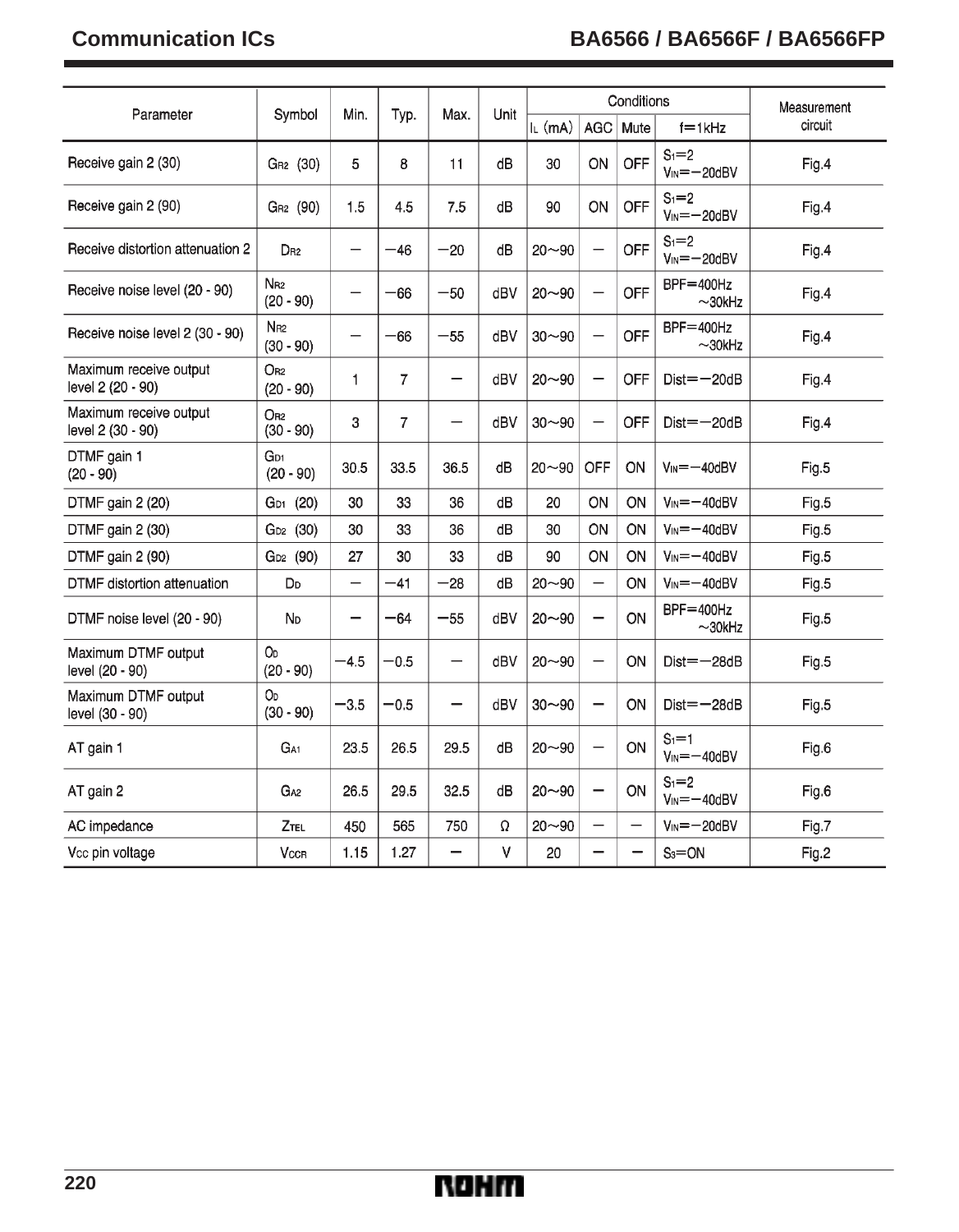# **Communication ICs BA6566 / BA6566F / BA6566FP**

| Parameter                                   | Symbol                         | Min.                     | Typ.           | Max.  | Unit |           |                          | Conditions | Measurement                    |         |
|---------------------------------------------|--------------------------------|--------------------------|----------------|-------|------|-----------|--------------------------|------------|--------------------------------|---------|
|                                             |                                |                          |                |       |      | $L$ (mA)  | <b>AGC</b>               | Mute       | $f = 1$ <sub>kHz</sub>         | circuit |
| Receive gain 2 (30)                         | GR <sub>2</sub> (30)           | 5                        | 8              | 11    | dB   | 30        | ON                       | OFF        | $S_1 = 2$<br>$V_{IN} = -20dBV$ | Fig.4   |
| Receive gain 2 (90)                         | GR <sub>2</sub> (90)           | 1.5                      | 4.5            | 7.5   | dB   | 90        | ON                       | OFF        | $S_1 = 2$<br>$V_{IN} = -20dBV$ | Fig.4   |
| Receive distortion attenuation 2            | D <sub>R2</sub>                | -                        | $-46$          | $-20$ | dB   | $20 - 90$ | -                        | OFF        | $S_1 = 2$<br>$V_{IN} = -20dBV$ | Fig.4   |
| Receive noise level (20 - 90)               | N <sub>R2</sub><br>$(20 - 90)$ | $\overline{\phantom{0}}$ | $-66$          | $-50$ | dBV  | $20 - 90$ | $\overline{\phantom{0}}$ | OFF        | $BF = 400 Hz$<br>$\sim$ 30kHz  | Fig.4   |
| Receive noise level 2 (30 - 90)             | N <sub>R2</sub><br>$(30 - 90)$ | $\overline{\phantom{0}}$ | $-66$          | $-55$ | dBV  | $30 - 90$ | $\overline{\phantom{0}}$ | OFF        | $BF = 400Hz$<br>$\sim$ 30kHz   | Fig.4   |
| Maximum receive output<br>level 2 (20 - 90) | $O_{B2}$<br>$(20 - 90)$        | 1                        | $\overline{7}$ | -     | dBV  | $20 - 90$ | -                        | OFF        | $Dist = -20dB$                 | Fig.4   |
| Maximum receive output<br>level 2 (30 - 90) | $O_{R2}$<br>$(30 - 90)$        | 3                        | $\overline{7}$ | —     | dBV  | $30 - 90$ | $\overline{\phantom{0}}$ | OFF        | $Dist = -20dB$                 | Fig.4   |
| DTMF gain 1<br>$(20 - 90)$                  | G <sub>D1</sub><br>$(20 - 90)$ | 30.5                     | 33.5           | 36.5  | dB   | $20 - 90$ | OFF                      | ON         | $V_{\text{IN}} = -40$ d $BV$   | Fig.5   |
| DTMF gain 2 (20)                            | GD <sub>1</sub> (20)           | 30                       | 33             | 36    | dB   | 20        | ON                       | ON         | $V_{IN} = -40dBV$              | Fig.5   |
| DTMF gain 2 (30)                            | G <sub>D2</sub> (30)           | 30                       | 33             | 36    | dB   | 30        | ON                       | ON         | $V_{IN} = -40dBV$              | Fig.5   |
| DTMF gain 2 (90)                            | G <sub>D2</sub> (90)           | 27                       | 30             | 33    | dB   | 90        | ON                       | ON         | $V_{IN} = -40dBV$              | Fig.5   |
| DTMF distortion attenuation                 | D <sub>D</sub>                 | $\qquad \qquad -$        | $-41$          | $-28$ | dB   | $20 - 90$ | $\overline{\phantom{0}}$ | ON         | $V_{IN} = -40dBV$              | Fig.5   |
| DTMF noise level (20 - 90)                  | ND                             | -                        | $-64$          | $-55$ | dBV  | $20 - 90$ | $\overline{\phantom{0}}$ | ON         | BPF=400Hz<br>$\sim$ 30kHz      | Fig.5   |
| Maximum DTMF output<br>level (20 - 90)      | Oo<br>$(20 - 90)$              | $-4.5$                   | $-0.5$         |       | dBV  | $20 - 90$ | $\qquad \qquad -$        | ON         | $Dist = -28dB$                 | Fig.5   |
| Maximum DTMF output<br>level (30 - 90)      | OD<br>$(30 - 90)$              | $-3.5$                   | $-0.5$         |       | dBV  | $30 - 90$ | $\qquad \qquad -$        | ON         | $Dist = -28dB$                 | Fig.5   |
| AT gain 1                                   | G <sub>A1</sub>                | 23.5                     | 26.5           | 29.5  | dB   | $20 - 90$ |                          | ON         | $S_1 = 1$<br>$V_{IN} = -40dBV$ | Fig.6   |
| AT gain 2                                   | G <sub>A2</sub>                | 26.5                     | 29.5           | 32.5  | dВ   | $20 - 90$ | $\overline{\phantom{0}}$ | ON         | $S_1 = 2$<br>$V_{IN} = -40dBV$ | Fig.6   |
| AC impedance                                | Ztel                           | 450                      | 565            | 750   | Ω    | $20 - 90$ | -                        |            | $V_{IN} = -20dBV$              | Fig.7   |
| Vcc pin voltage                             | VccR                           | 1.15                     | 1.27           | -     | V    | 20        | -                        | -          | $S_3 = ON$                     | Fig.2   |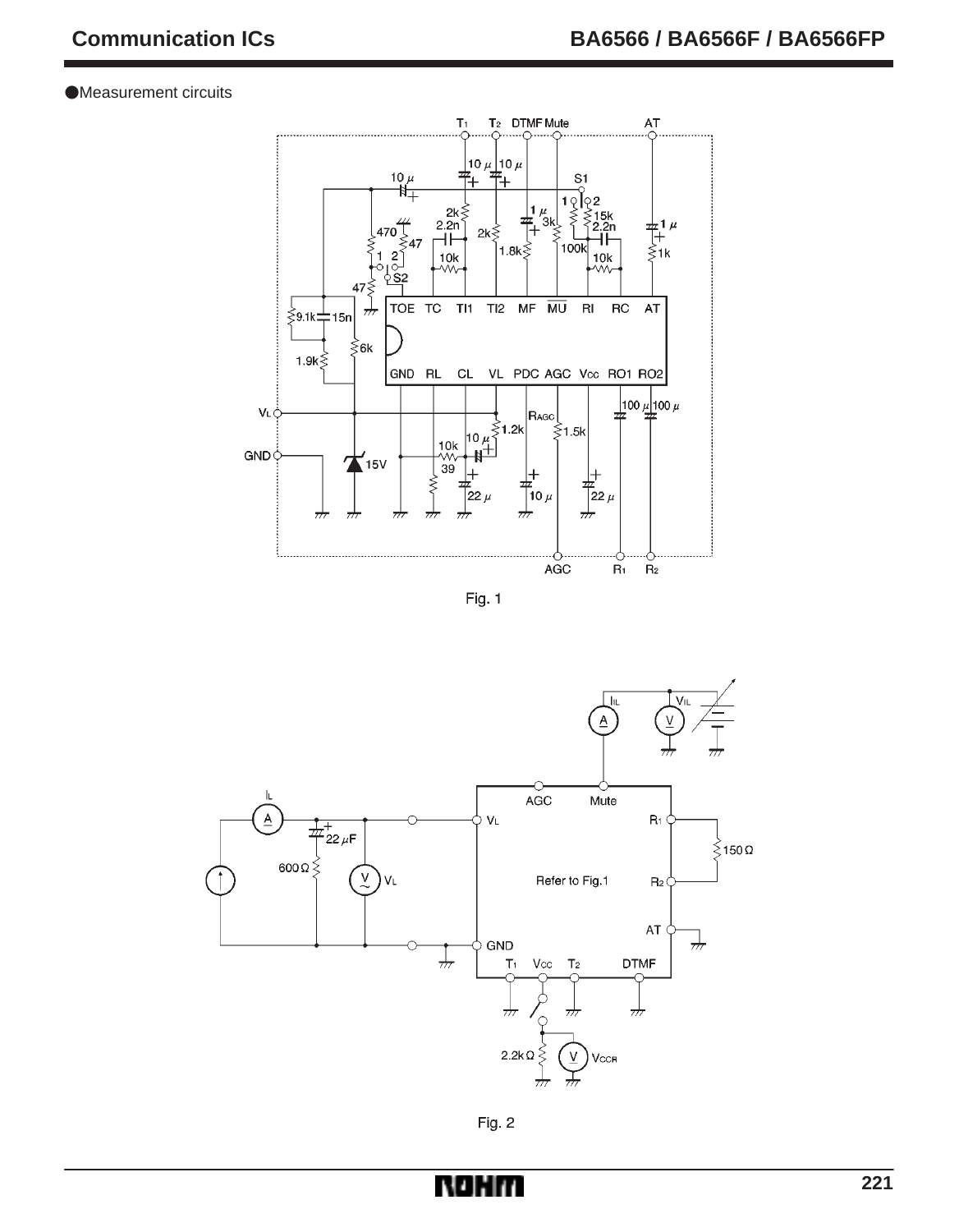Measurement circuits



Fig. 1



Fig. 2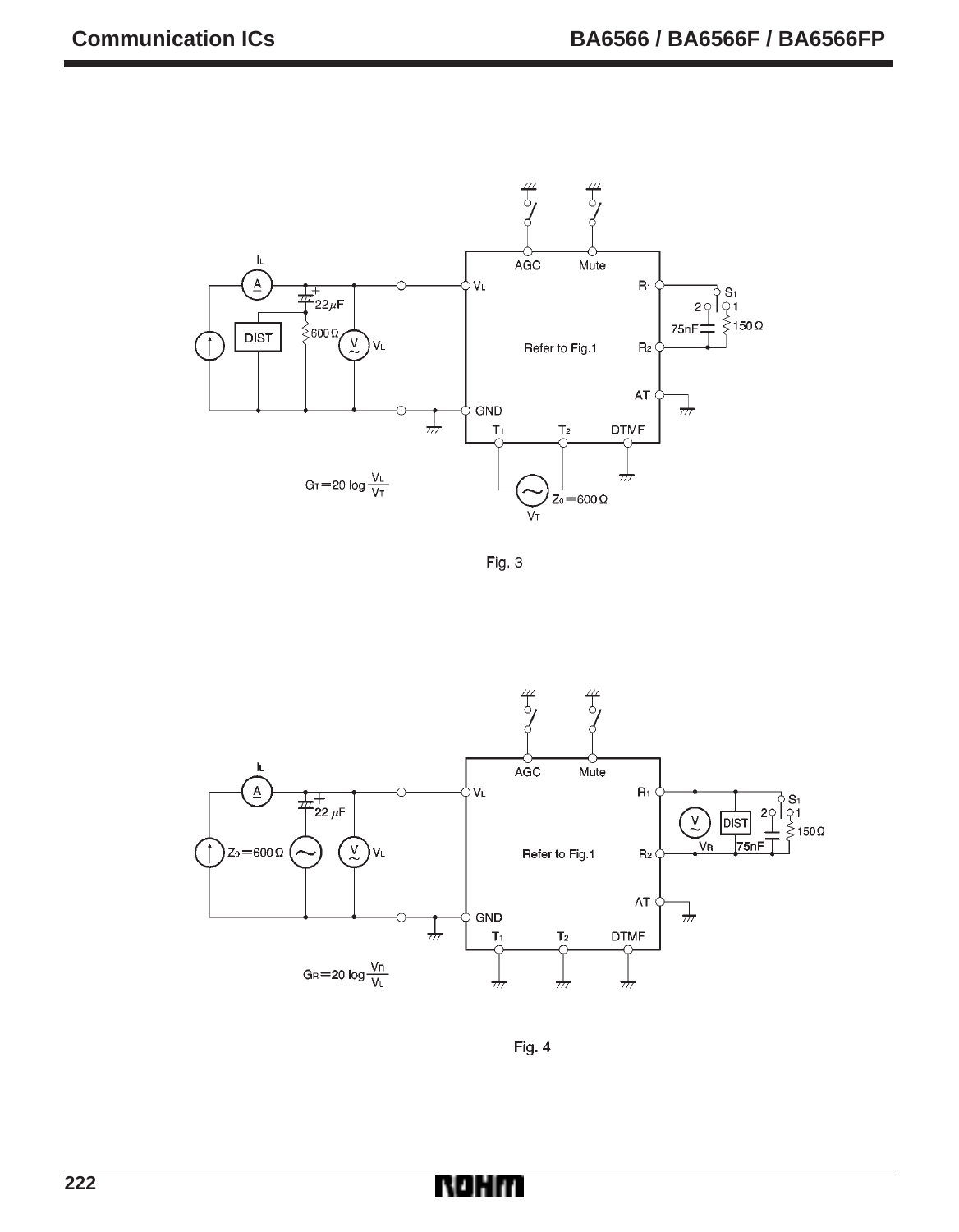

Fig. 3



Fig. 4

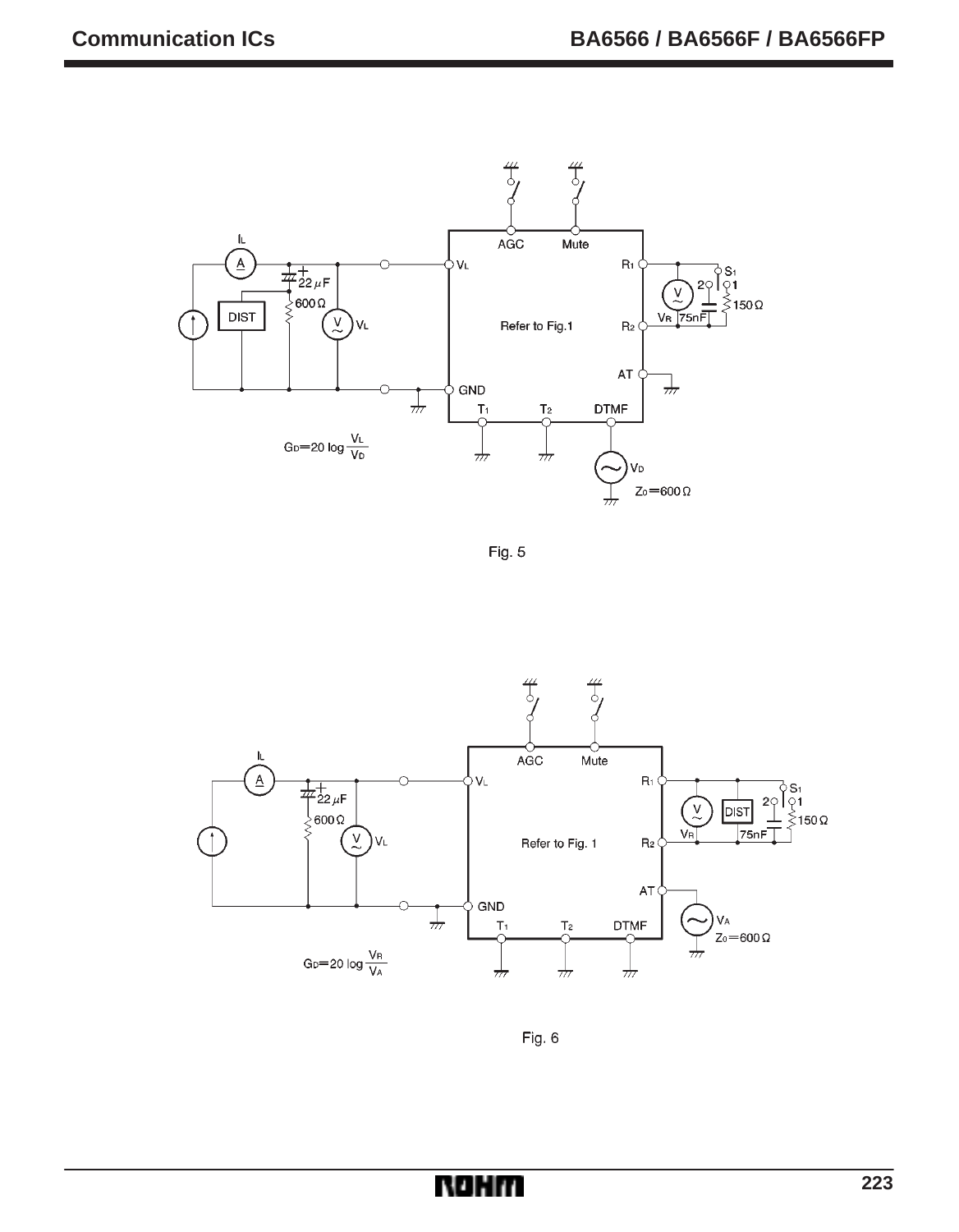

Fig. 5



Fig. 6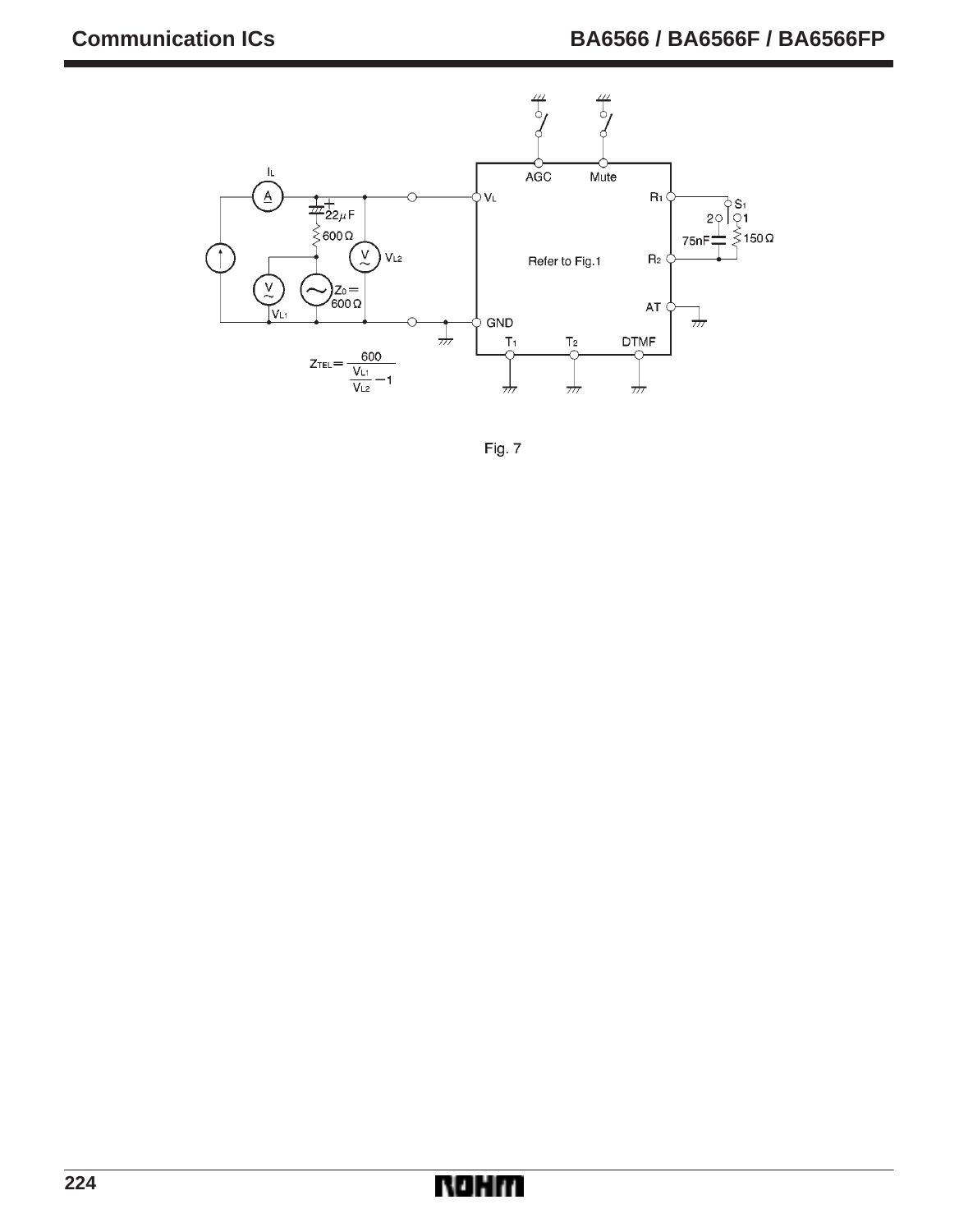

Fig. 7